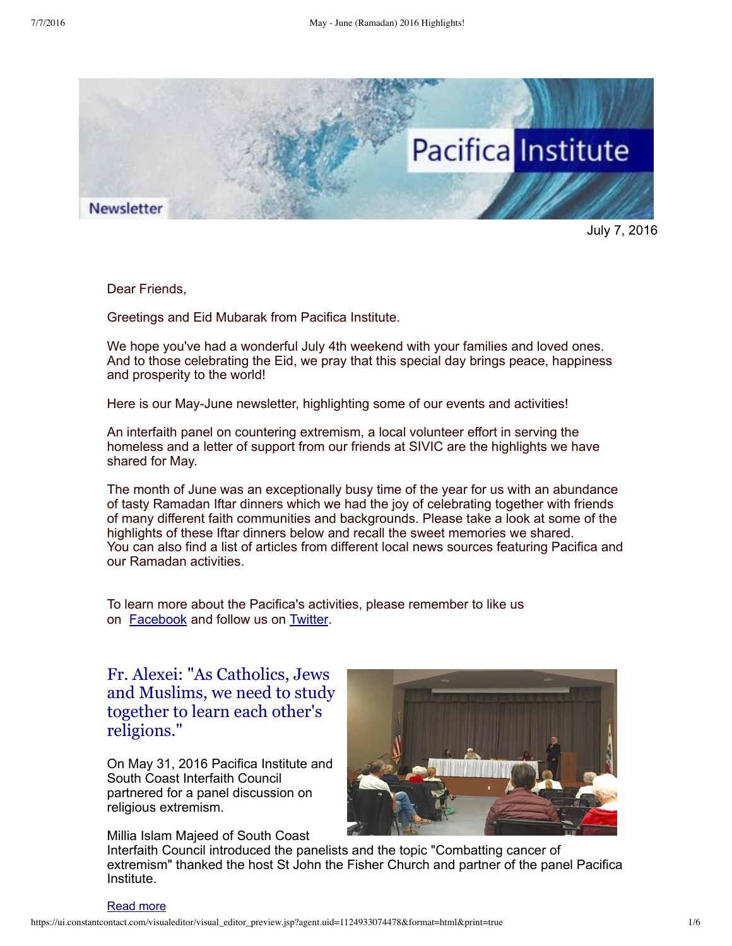

July 7, 2016

Dear Friends,

Greetings and Eid Mubarak from Pacifica Institute.

We hope you've had a wonderful July 4th weekend with your families and loved ones. And to those celebrating the Eid, we pray that this special day brings peace, happiness and prosperity to the world!

Here is our May-June newsletter, highlighting some of our events and activities!

An interfaith panel on countering extremism, a local volunteer effort in serving the homeless and a letter of support from our friends at SIVIC are the highlights we have shared for May.

The month of June was an exceptionally busy time of the year for us with an abundance of tasty Ramadan Iftar dinners which we had the joy of celebrating together with friends of many different faith communities and backgrounds. Please take a look at some of the highlights of these Iftar dinners below and recall the sweet memories we shared. You can also find a list of articles from different local news sources featuring Pacifica and our Ramadan activities.

To learn more about the Pacifica's activities, please remember to like us on **[Facebook](https://www.facebook.com/pacificainstitute?ref=bookmarks)** and follow us on **Twitter**.

Fr. Alexei: "As Catholics, Jews and Muslims, we need to study together to learn each other's [religions."](http://pacificainstitute.org/2016/04/26/pacifica-connects-peaceful-coexistence-experience-in-korea/)

On May 31, 2016 Pacifica Institute and South Coast Interfaith Council partnered for a panel discussion on religious extremism.

Millia Islam Majeed of South Coast



Interfaith Council introduced the panelists and the topic "Combatting cancer of extremism" thanked the host St John the Fisher Church and partner of the panel Pacifica Institute.

#### [Read](http://pacificainstitute.org/2016/06/06/fr-alexei-as-catholics-jews-and-muslims-we-need-to-study-together-and-we-need-to-learn-each-others-religions/) more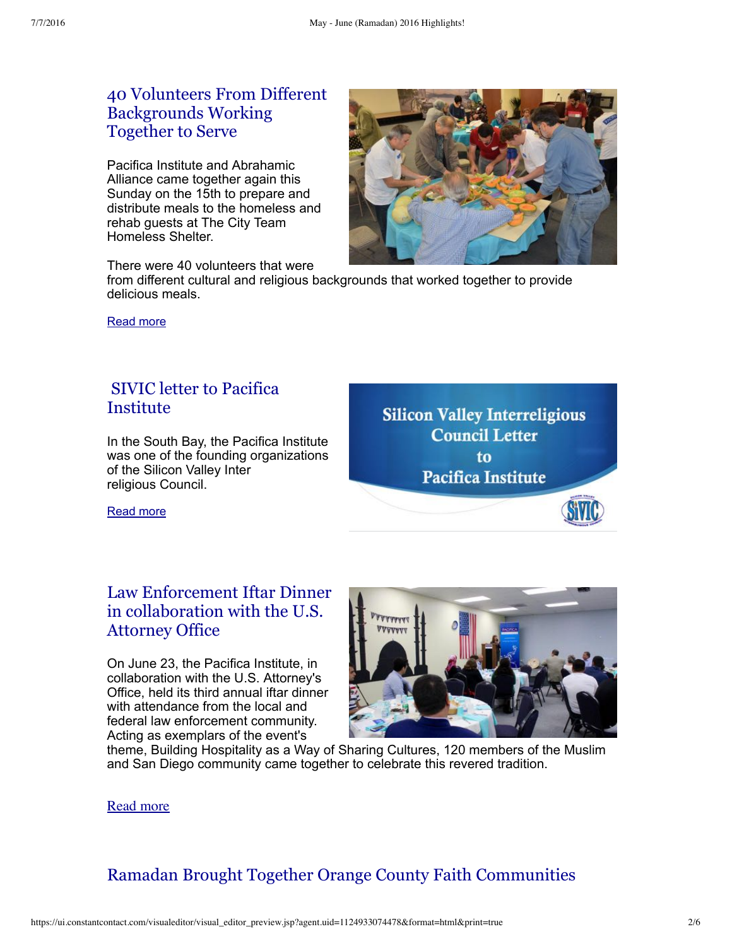# 40 Volunteers From Different [Backgrounds](http://pacificainstitute.org/2016/05/22/homeless-dinner-with-abrahamic-alliance/) Working Together to Serve

Pacifica Institute and Abrahamic Alliance came together again this Sunday on the 15th to prepare and distribute meals to the homeless and rehab guests at The City Team Homeless Shelter.

There were 40 volunteers that were

from different cultural and religious backgrounds that worked together to provide delicious meals.

[Read](http://pacificainstitute.org/2016/05/22/homeless-dinner-with-abrahamic-alliance/) more

### SIVIC letter to Pacifica [Institute](http://pacificainstitute.org/2016/06/22/sivic-letter-to-pacifica-institute/)

In the South Bay, the Pacifica Institute was one of the founding organizations of the Silicon Valley Inter religious Council.





#### [Read](http://pacificainstitute.org/2016/06/22/sivic-letter-to-pacifica-institute/) more

# Law Enforcement Iftar Dinner in [collaboration](http://pacificainstitute.org/2016/07/01/law-enforcement-iftar-dinner-in-collaboration-with-the-u-s-attorneys-office/) with the U.S. Attorney Office

On June 23, the Pacifica Institute, in collaboration with the U.S. Attorney's Office, held its third annual iftar dinner with attendance from the local and federal law enforcement community. Acting as exemplars of the event's



theme, Building Hospitality as a Way of Sharing Cultures, 120 members of the Muslim and San Diego community came together to celebrate this revered tradition.

### Read [more](http://pacificainstitute.org/2016/07/01/law-enforcement-iftar-dinner-in-collaboration-with-the-u-s-attorneys-office/)

# Ramadan Brought Together Orange County Faith [Communities](http://pacificainstitute.org/2016/06/15/ramadan-dinner-brought-together-orange-county-faith-communities/)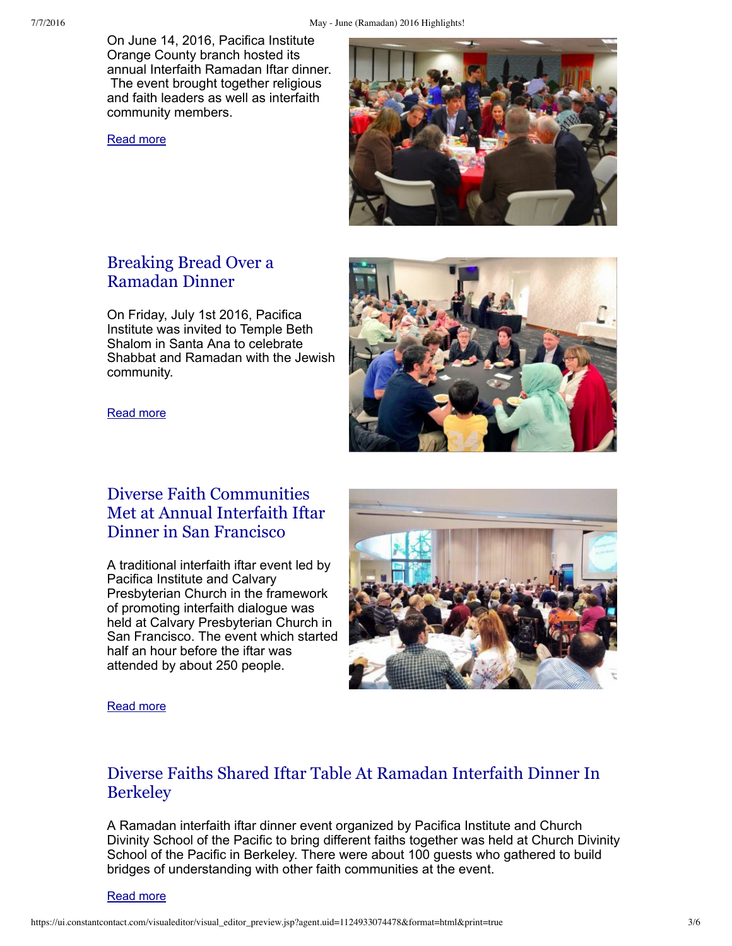On June 14, 2016, Pacifica Institute Orange County branch hosted its annual Interfaith Ramadan Iftar dinner. The event brought together religious and faith leaders as well as interfaith community members.

[Read](http://pacificainstitute.org/2016/06/15/ramadan-dinner-brought-together-orange-county-faith-communities/) more



# Breaking Bread Over a [Ramadan](http://pacificainstitute.org/orange-county/2016/07/07/breaking-bread-over-a-ramadan-dinner/) Dinner

On Friday, July 1st 2016, Pacifica Institute was invited to Temple Beth Shalom in Santa Ana to celebrate Shabbat and Ramadan with the Jewish community.



#### [Read](http://pacificainstitute.org/orange-county/2016/07/07/breaking-bread-over-a-ramadan-dinner/) more

# Diverse Faith [Communities](http://pacificainstitute.org/2016/06/11/diverse-faith-communities-met-at-annual-interfaith-iftar-dinner-in-san-francisco/) Met at Annual Interfaith Iftar Dinner in San Francisco

A traditional interfaith iftar event led by Pacifica Institute and Calvary Presbyterian Church in the framework of promoting interfaith dialogue was held at Calvary Presbyterian Church in San Francisco. The event which started half an hour before the iftar was attended by about 250 people.



#### [Read](http://pacificainstitute.org/2016/06/11/diverse-faith-communities-met-at-annual-interfaith-iftar-dinner-in-san-francisco/) more

### Diverse Faiths Shared Iftar Table At Ramadan [Interfaith](http://pacificainstitute.org/2016/06/25/diverse-faiths-shared-iftar-table-at-ramadan-interfaith-dinner/) Dinner In **Berkeley**

A Ramadan interfaith iftar dinner event organized by Pacifica Institute and Church Divinity School of the Pacific to bring different faiths together was held at Church Divinity School of the Pacific in Berkeley. There were about 100 guests who gathered to build bridges of understanding with other faith communities at the event.

[Read](http://pacificainstitute.org/2016/06/25/diverse-faiths-shared-iftar-table-at-ramadan-interfaith-dinner/) more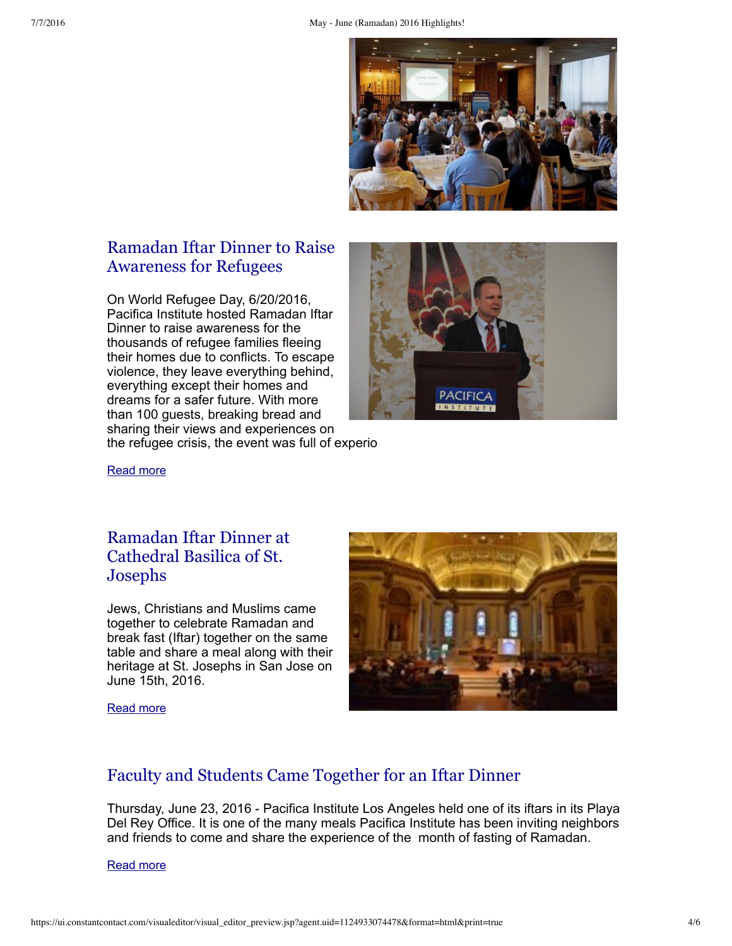

# Ramadan Iftar Dinner to Raise [Awareness](http://pacificainstitute.org/bay-area/2016/07/04/ramadan-iftar-dinner-to-raise-awareness-for-refugees/) for Refugees

On World Refugee Day, 6/20/2016, Pacifica Institute hosted Ramadan Iftar Dinner to raise awareness for the thousands of refugee families fleeing their homes due to conflicts. To escape violence, they leave everything behind, everything except their homes and dreams for a safer future. With more than 100 guests, breaking bread and sharing their views and experiences on the refugee crisis, the event was full of experio



[Read](http://pacificainstitute.org/bay-area/2016/07/04/ramadan-iftar-dinner-to-raise-awareness-for-refugees/) more

# Ramadan Iftar Dinner at [Cathedral](http://pacificainstitute.org/bay-area/2016/07/04/ramadan-iftar-dinner-at-cathedral-basilica-of-st-josephs/) Basilica of St. Josephs

Jews, Christians and Muslims came together to celebrate Ramadan and break fast (Iftar) together on the same table and share a meal along with their heritage at St. Josephs in San Jose on June 15th, 2016.



[Read](http://pacificainstitute.org/bay-area/2016/07/04/ramadan-iftar-dinner-at-cathedral-basilica-of-st-josephs/) more

# Faculty and Students Came [Together](http://pacificainstitute.org/2016/06/27/faculty-and-students-came-together-for-an-iftar-dinner/) for an Iftar Dinner

Thursday, June 23, 2016 Pacifica Institute Los Angeles held one of its iftars in its Playa Del Rey Office. It is one of the many meals Pacifica Institute has been inviting neighbors and friends to come and share the experience of the month of fasting of Ramadan.

[Read](http://pacificainstitute.org/2016/06/27/faculty-and-students-came-together-for-an-iftar-dinner/) more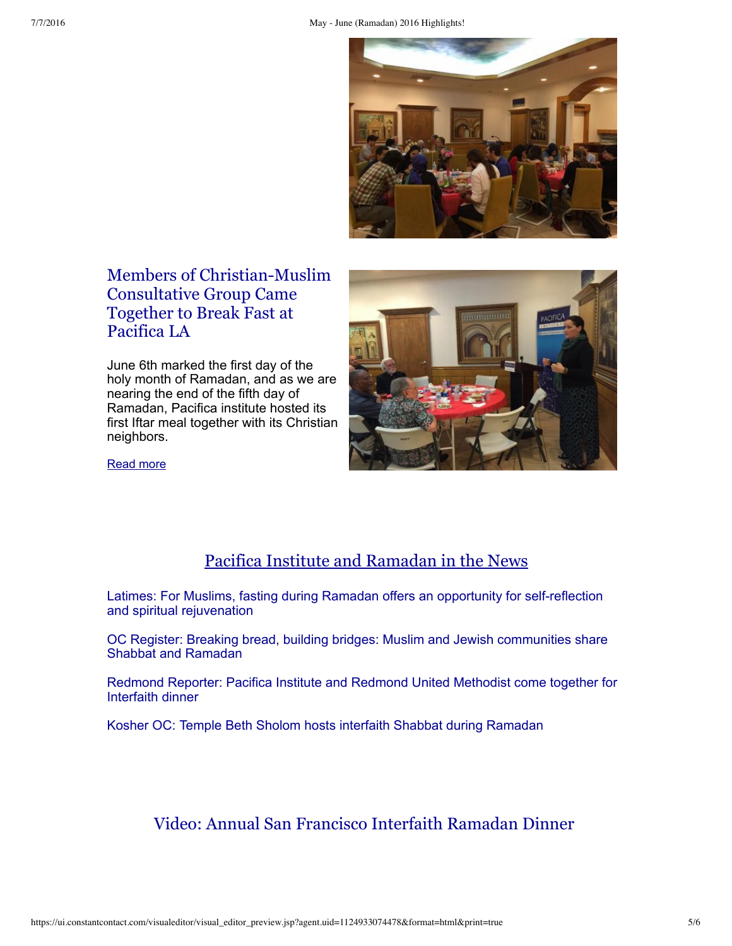

# Members of [Christian-Muslim](http://pacificainstitute.org/2016/06/15/members-of-christian-muslim-consultative-group-came-together-to-break-fast-at-pacifica-la/) Consultative Group Came Together to Break Fast at Pacifica LA

June 6th marked the first day of the holy month of Ramadan, and as we are nearing the end of the fifth day of Ramadan, Pacifica institute hosted its first Iftar meal together with its Christian neighbors.



[Read](http://pacificainstitute.org/2016/06/15/members-of-christian-muslim-consultative-group-came-together-to-break-fast-at-pacifica-la/) more

# Pacifica Institute and Ramadan in the News

Latimes: For Muslims, fasting during Ramadan offers an opportunity for self-reflection and spiritual rejuvenation

OC Register: Breaking bread, building bridges: Muslim and Jewish [communities](http://www.ocregister.com/articles/community-721314-together-people.html) share Shabbat and Ramadan

Redmond Reporter: Pacifica Institute and [Redmond](http://www.redmond-reporter.com/news/383416561.html) United Methodist come together for Interfaith dinner

Kosher OC: Temple Beth Sholom hosts interfaith Shabbat during [Ramadan](http://kosheroc.com/2016/07/06/interfaith-interactions-temple-beth-sholom-hosts-shabbat-during-ramadan)

Video: Annual San Francisco Interfaith Ramadan Dinner